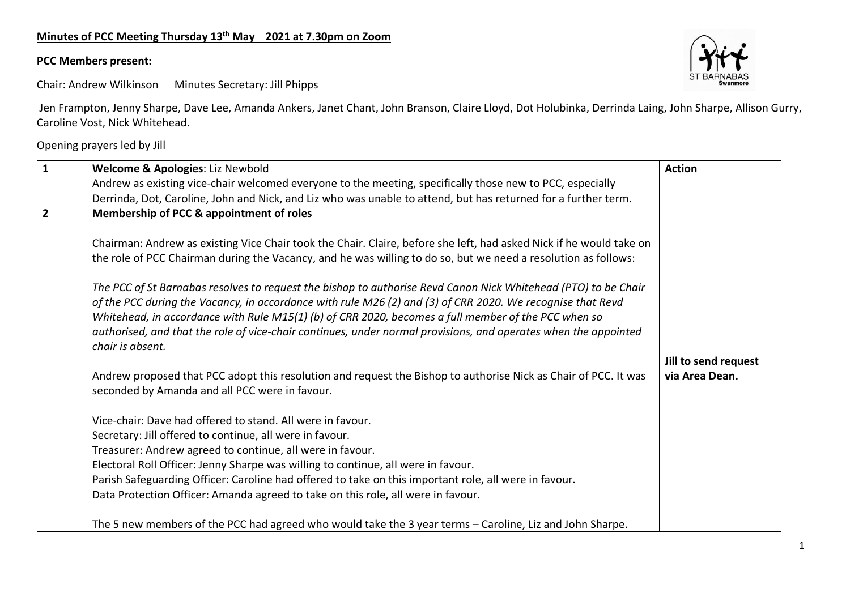## **Minutes of PCC Meeting Thursday 13th May 2021 at 7.30pm on Zoom**

## **PCC Members present:**



Chair: Andrew Wilkinson Minutes Secretary: Jill Phipps

Jen Frampton, Jenny Sharpe, Dave Lee, Amanda Ankers, Janet Chant, John Branson, Claire Lloyd, Dot Holubinka, Derrinda Laing, John Sharpe, Allison Gurry, Caroline Vost, Nick Whitehead.

Opening prayers led by Jill

| $\mathbf{1}$   | Welcome & Apologies: Liz Newbold                                                                                                                                  | <b>Action</b>                          |
|----------------|-------------------------------------------------------------------------------------------------------------------------------------------------------------------|----------------------------------------|
|                | Andrew as existing vice-chair welcomed everyone to the meeting, specifically those new to PCC, especially                                                         |                                        |
|                | Derrinda, Dot, Caroline, John and Nick, and Liz who was unable to attend, but has returned for a further term.                                                    |                                        |
| $\overline{2}$ | Membership of PCC & appointment of roles                                                                                                                          |                                        |
|                |                                                                                                                                                                   |                                        |
|                | Chairman: Andrew as existing Vice Chair took the Chair. Claire, before she left, had asked Nick if he would take on                                               |                                        |
|                | the role of PCC Chairman during the Vacancy, and he was willing to do so, but we need a resolution as follows:                                                    |                                        |
|                |                                                                                                                                                                   |                                        |
|                | The PCC of St Barnabas resolves to request the bishop to authorise Revd Canon Nick Whitehead (PTO) to be Chair                                                    |                                        |
|                | of the PCC during the Vacancy, in accordance with rule M26 (2) and (3) of CRR 2020. We recognise that Revd                                                        |                                        |
|                | Whitehead, in accordance with Rule M15(1) (b) of CRR 2020, becomes a full member of the PCC when so                                                               |                                        |
|                | authorised, and that the role of vice-chair continues, under normal provisions, and operates when the appointed<br>chair is absent.                               |                                        |
|                |                                                                                                                                                                   |                                        |
|                |                                                                                                                                                                   | Jill to send request<br>via Area Dean. |
|                | Andrew proposed that PCC adopt this resolution and request the Bishop to authorise Nick as Chair of PCC. It was<br>seconded by Amanda and all PCC were in favour. |                                        |
|                |                                                                                                                                                                   |                                        |
|                | Vice-chair: Dave had offered to stand. All were in favour.                                                                                                        |                                        |
|                | Secretary: Jill offered to continue, all were in favour.                                                                                                          |                                        |
|                | Treasurer: Andrew agreed to continue, all were in favour.                                                                                                         |                                        |
|                | Electoral Roll Officer: Jenny Sharpe was willing to continue, all were in favour.                                                                                 |                                        |
|                | Parish Safeguarding Officer: Caroline had offered to take on this important role, all were in favour.                                                             |                                        |
|                | Data Protection Officer: Amanda agreed to take on this role, all were in favour.                                                                                  |                                        |
|                |                                                                                                                                                                   |                                        |
|                | The 5 new members of the PCC had agreed who would take the 3 year terms - Caroline, Liz and John Sharpe.                                                          |                                        |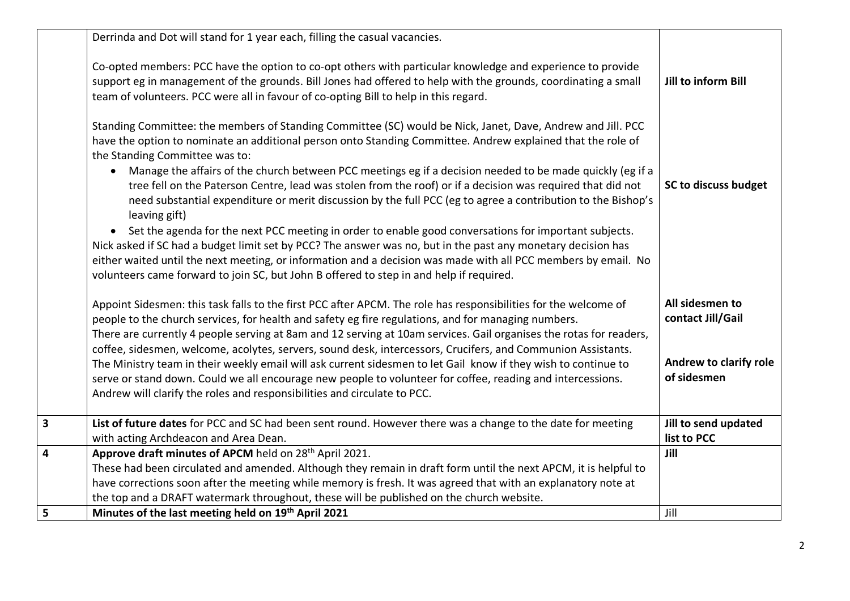|   | Derrinda and Dot will stand for 1 year each, filling the casual vacancies.                                                                                                                                                                                                                                                                                                                                                                                                                                                                                                                                                |                                       |
|---|---------------------------------------------------------------------------------------------------------------------------------------------------------------------------------------------------------------------------------------------------------------------------------------------------------------------------------------------------------------------------------------------------------------------------------------------------------------------------------------------------------------------------------------------------------------------------------------------------------------------------|---------------------------------------|
|   | Co-opted members: PCC have the option to co-opt others with particular knowledge and experience to provide<br>support eg in management of the grounds. Bill Jones had offered to help with the grounds, coordinating a small<br>team of volunteers. PCC were all in favour of co-opting Bill to help in this regard.                                                                                                                                                                                                                                                                                                      | Jill to inform Bill                   |
|   | Standing Committee: the members of Standing Committee (SC) would be Nick, Janet, Dave, Andrew and Jill. PCC<br>have the option to nominate an additional person onto Standing Committee. Andrew explained that the role of<br>the Standing Committee was to:<br>Manage the affairs of the church between PCC meetings eg if a decision needed to be made quickly (eg if a<br>tree fell on the Paterson Centre, lead was stolen from the roof) or if a decision was required that did not<br>need substantial expenditure or merit discussion by the full PCC (eg to agree a contribution to the Bishop's<br>leaving gift) | SC to discuss budget                  |
|   | Set the agenda for the next PCC meeting in order to enable good conversations for important subjects.<br>$\bullet$<br>Nick asked if SC had a budget limit set by PCC? The answer was no, but in the past any monetary decision has<br>either waited until the next meeting, or information and a decision was made with all PCC members by email. No<br>volunteers came forward to join SC, but John B offered to step in and help if required.                                                                                                                                                                           |                                       |
|   | Appoint Sidesmen: this task falls to the first PCC after APCM. The role has responsibilities for the welcome of<br>people to the church services, for health and safety eg fire regulations, and for managing numbers.<br>There are currently 4 people serving at 8am and 12 serving at 10am services. Gail organises the rotas for readers,<br>coffee, sidesmen, welcome, acolytes, servers, sound desk, intercessors, Crucifers, and Communion Assistants.                                                                                                                                                              | All sidesmen to<br>contact Jill/Gail  |
|   | The Ministry team in their weekly email will ask current sidesmen to let Gail know if they wish to continue to<br>serve or stand down. Could we all encourage new people to volunteer for coffee, reading and intercessions.<br>Andrew will clarify the roles and responsibilities and circulate to PCC.                                                                                                                                                                                                                                                                                                                  | Andrew to clarify role<br>of sidesmen |
| 3 | List of future dates for PCC and SC had been sent round. However there was a change to the date for meeting<br>with acting Archdeacon and Area Dean.                                                                                                                                                                                                                                                                                                                                                                                                                                                                      | Jill to send updated<br>list to PCC   |
| 4 | Approve draft minutes of APCM held on 28 <sup>th</sup> April 2021.<br>These had been circulated and amended. Although they remain in draft form until the next APCM, it is helpful to<br>have corrections soon after the meeting while memory is fresh. It was agreed that with an explanatory note at<br>the top and a DRAFT watermark throughout, these will be published on the church website.                                                                                                                                                                                                                        | Jill                                  |
| 5 | Minutes of the last meeting held on 19th April 2021                                                                                                                                                                                                                                                                                                                                                                                                                                                                                                                                                                       | Jill                                  |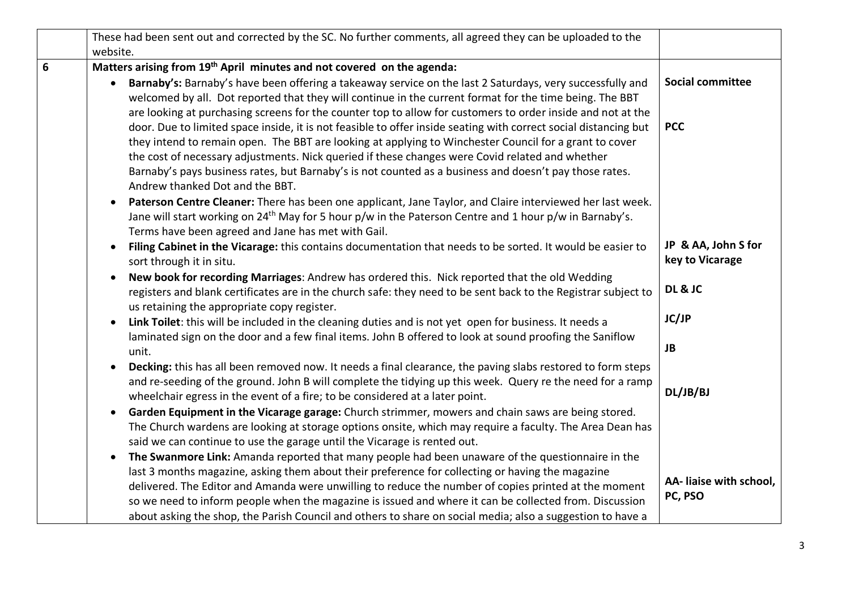|   | These had been sent out and corrected by the SC. No further comments, all agreed they can be uploaded to the                                                                                                                                                                |                                        |
|---|-----------------------------------------------------------------------------------------------------------------------------------------------------------------------------------------------------------------------------------------------------------------------------|----------------------------------------|
|   | website.                                                                                                                                                                                                                                                                    |                                        |
| 6 | Matters arising from 19 <sup>th</sup> April minutes and not covered on the agenda:                                                                                                                                                                                          |                                        |
|   | Barnaby's: Barnaby's have been offering a takeaway service on the last 2 Saturdays, very successfully and<br>$\bullet$<br>welcomed by all. Dot reported that they will continue in the current format for the time being. The BBT                                           | <b>Social committee</b>                |
|   | are looking at purchasing screens for the counter top to allow for customers to order inside and not at the                                                                                                                                                                 |                                        |
|   | door. Due to limited space inside, it is not feasible to offer inside seating with correct social distancing but                                                                                                                                                            | <b>PCC</b>                             |
|   | they intend to remain open. The BBT are looking at applying to Winchester Council for a grant to cover                                                                                                                                                                      |                                        |
|   | the cost of necessary adjustments. Nick queried if these changes were Covid related and whether                                                                                                                                                                             |                                        |
|   | Barnaby's pays business rates, but Barnaby's is not counted as a business and doesn't pay those rates.<br>Andrew thanked Dot and the BBT.                                                                                                                                   |                                        |
|   | Paterson Centre Cleaner: There has been one applicant, Jane Taylor, and Claire interviewed her last week.<br>$\bullet$                                                                                                                                                      |                                        |
|   | Jane will start working on 24 <sup>th</sup> May for 5 hour p/w in the Paterson Centre and 1 hour p/w in Barnaby's.<br>Terms have been agreed and Jane has met with Gail.                                                                                                    |                                        |
|   | Filing Cabinet in the Vicarage: this contains documentation that needs to be sorted. It would be easier to<br>$\bullet$                                                                                                                                                     | JP & AA, John S for<br>key to Vicarage |
|   | sort through it in situ.                                                                                                                                                                                                                                                    |                                        |
|   | New book for recording Marriages: Andrew has ordered this. Nick reported that the old Wedding<br>$\bullet$<br>registers and blank certificates are in the church safe: they need to be sent back to the Registrar subject to<br>us retaining the appropriate copy register. | DL & JC                                |
|   | Link Toilet: this will be included in the cleaning duties and is not yet open for business. It needs a<br>$\bullet$                                                                                                                                                         | JC/JP                                  |
|   | laminated sign on the door and a few final items. John B offered to look at sound proofing the Saniflow                                                                                                                                                                     |                                        |
|   | unit.                                                                                                                                                                                                                                                                       | <b>JB</b>                              |
|   | Decking: this has all been removed now. It needs a final clearance, the paving slabs restored to form steps<br>$\bullet$<br>and re-seeding of the ground. John B will complete the tidying up this week. Query re the need for a ramp                                       |                                        |
|   | wheelchair egress in the event of a fire; to be considered at a later point.                                                                                                                                                                                                | DL/JB/BJ                               |
|   | Garden Equipment in the Vicarage garage: Church strimmer, mowers and chain saws are being stored.<br>$\bullet$                                                                                                                                                              |                                        |
|   | The Church wardens are looking at storage options onsite, which may require a faculty. The Area Dean has                                                                                                                                                                    |                                        |
|   | said we can continue to use the garage until the Vicarage is rented out.                                                                                                                                                                                                    |                                        |
|   | The Swanmore Link: Amanda reported that many people had been unaware of the questionnaire in the<br>$\bullet$                                                                                                                                                               |                                        |
|   | last 3 months magazine, asking them about their preference for collecting or having the magazine                                                                                                                                                                            |                                        |
|   | delivered. The Editor and Amanda were unwilling to reduce the number of copies printed at the moment                                                                                                                                                                        | AA- liaise with school,                |
|   | so we need to inform people when the magazine is issued and where it can be collected from. Discussion                                                                                                                                                                      | PC, PSO                                |
|   | about asking the shop, the Parish Council and others to share on social media; also a suggestion to have a                                                                                                                                                                  |                                        |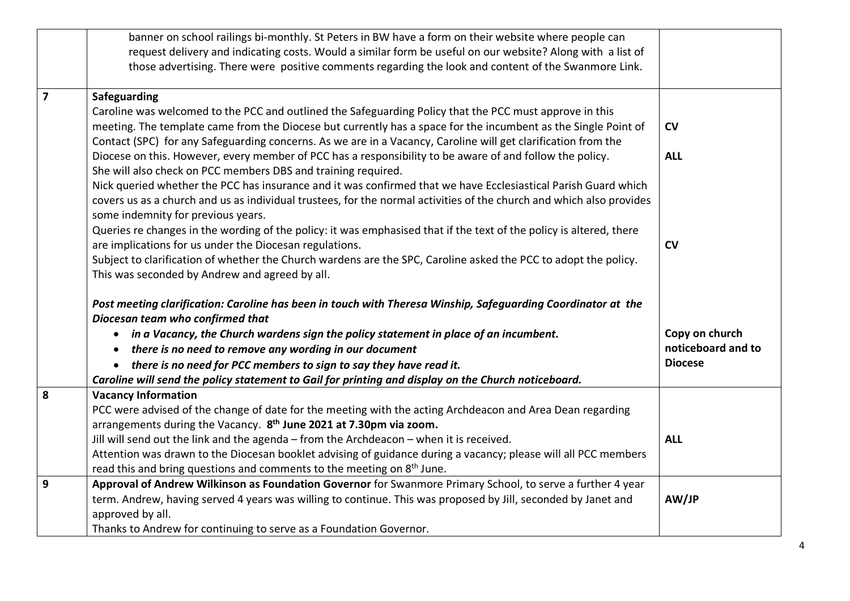|                         | banner on school railings bi-monthly. St Peters in BW have a form on their website where people can<br>request delivery and indicating costs. Would a similar form be useful on our website? Along with a list of |                    |
|-------------------------|-------------------------------------------------------------------------------------------------------------------------------------------------------------------------------------------------------------------|--------------------|
|                         | those advertising. There were positive comments regarding the look and content of the Swanmore Link.                                                                                                              |                    |
| $\overline{\mathbf{z}}$ | Safeguarding                                                                                                                                                                                                      |                    |
|                         | Caroline was welcomed to the PCC and outlined the Safeguarding Policy that the PCC must approve in this                                                                                                           |                    |
|                         | meeting. The template came from the Diocese but currently has a space for the incumbent as the Single Point of                                                                                                    | CV                 |
|                         | Contact (SPC) for any Safeguarding concerns. As we are in a Vacancy, Caroline will get clarification from the                                                                                                     |                    |
|                         | Diocese on this. However, every member of PCC has a responsibility to be aware of and follow the policy.<br>She will also check on PCC members DBS and training required.                                         | <b>ALL</b>         |
|                         | Nick queried whether the PCC has insurance and it was confirmed that we have Ecclesiastical Parish Guard which                                                                                                    |                    |
|                         | covers us as a church and us as individual trustees, for the normal activities of the church and which also provides<br>some indemnity for previous years.                                                        |                    |
|                         | Queries re changes in the wording of the policy: it was emphasised that if the text of the policy is altered, there                                                                                               |                    |
|                         | are implications for us under the Diocesan regulations.                                                                                                                                                           | CV                 |
|                         | Subject to clarification of whether the Church wardens are the SPC, Caroline asked the PCC to adopt the policy.                                                                                                   |                    |
|                         | This was seconded by Andrew and agreed by all.                                                                                                                                                                    |                    |
|                         | Post meeting clarification: Caroline has been in touch with Theresa Winship, Safeguarding Coordinator at the<br>Diocesan team who confirmed that                                                                  |                    |
|                         | • in a Vacancy, the Church wardens sign the policy statement in place of an incumbent.                                                                                                                            | Copy on church     |
|                         | there is no need to remove any wording in our document                                                                                                                                                            | noticeboard and to |
|                         | there is no need for PCC members to sign to say they have read it.                                                                                                                                                | <b>Diocese</b>     |
|                         | Caroline will send the policy statement to Gail for printing and display on the Church noticeboard.                                                                                                               |                    |
| 8                       | <b>Vacancy Information</b>                                                                                                                                                                                        |                    |
|                         | PCC were advised of the change of date for the meeting with the acting Archdeacon and Area Dean regarding                                                                                                         |                    |
|                         | arrangements during the Vacancy. 8 <sup>th</sup> June 2021 at 7.30pm via zoom.                                                                                                                                    |                    |
|                         | Jill will send out the link and the agenda - from the Archdeacon - when it is received.                                                                                                                           | <b>ALL</b>         |
|                         | Attention was drawn to the Diocesan booklet advising of guidance during a vacancy; please will all PCC members                                                                                                    |                    |
|                         | read this and bring questions and comments to the meeting on 8 <sup>th</sup> June.                                                                                                                                |                    |
| 9                       | Approval of Andrew Wilkinson as Foundation Governor for Swanmore Primary School, to serve a further 4 year                                                                                                        |                    |
|                         | term. Andrew, having served 4 years was willing to continue. This was proposed by Jill, seconded by Janet and                                                                                                     | AW/JP              |
|                         | approved by all.                                                                                                                                                                                                  |                    |
|                         | Thanks to Andrew for continuing to serve as a Foundation Governor.                                                                                                                                                |                    |